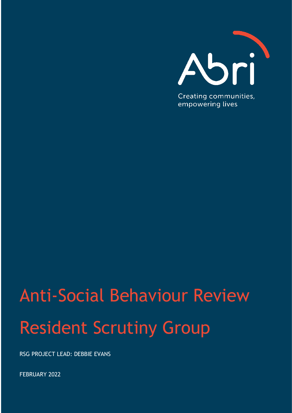

# Anti-Social Behaviour Review Resident Scrutiny Group

RSG PROJECT LEAD: DEBBIE EVANS

FEBRUARY 2022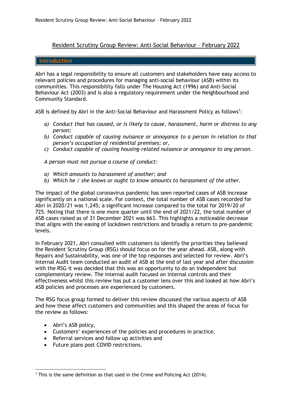### Resident Scrutiny Group Review: Anti-Social Behaviour - February 2022

#### **Introduction**

Abri has a legal responsibility to ensure all customers and stakeholders have easy access to relevant policies and procedures for managing anti-social behaviour (ASB) within its communities. This responsibility falls under The Housing Act (1996) and Anti-Social Behaviour Act (2003) and is also a regulatory requirement under the Neighbourhood and Community Standard.

ASB is defined by Abri in the Anti-Social Behaviour and Harassment Policy as follows<sup>1</sup>:

- *a) Conduct that has caused, or is likely to cause, harassment, harm or distress to any person;*
- *b) Conduct capable of causing nuisance or annoyance to a person in relation to that person's occupation of residential premises; or,*
- *c) Conduct capable of causing housing-related nuisance or annoyance to any person.*

*A person must not pursue a course of conduct:*

- *a) Which amounts to harassment of another; and*
- *b) Which he / she knows or ought to know amounts to harassment of the other.*

The impact of the global coronavirus pandemic has seen reported cases of ASB increase significantly on a national scale. For context, the total number of ASB cases recorded for Abri in 2020/21 was 1,245; a significant increase compared to the total for 2019/20 of 725. Noting that there is one more quarter until the end of 2021/22, the total number of ASB cases raised as of 31 December 2021 was 663. This highlights a noticeable decrease that aligns with the easing of lockdown restrictions and broadly a return to pre-pandemic levels.

In February 2021, Abri consulted with customers to identify the priorities they believed the Resident Scrutiny Group (RSG) should focus on for the year ahead. ASB, along with Repairs and Sustainability, was one of the top responses and selected for review. Abri's Internal Audit team conducted an audit of ASB at the end of last year and after discussion with the RSG it was decided that this was an opportunity to do an independent but complementary review. The internal audit focused on internal controls and their effectiveness whilst this review has put a customer lens over this and looked at how Abri's ASB policies and processes are experienced by customers.

The RSG focus group formed to deliver this review discussed the various aspects of ASB and how these affect customers and communities and this shaped the areas of focus for the review as follows:

- Abri's ASB policy,
- Customers' experiences of the policies and procedures in practice,
- Referral services and follow up activities and
- Future plans post COVID restrictions.

<sup>1</sup> This is the same definition as that used in the Crime and Policing Act (2014).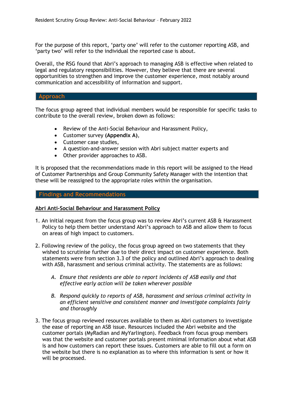For the purpose of this report, 'party one' will refer to the customer reporting ASB, and 'party two' will refer to the individual the reported case is about.

Overall, the RSG found that Abri's approach to managing ASB is effective when related to legal and regulatory responsibilities. However, they believe that there are several opportunities to strengthen and improve the customer experience, most notably around communication and accessibility of information and support.

#### **Approach**

The focus group agreed that individual members would be responsible for specific tasks to contribute to the overall review, broken down as follows:

- Review of the Anti-Social Behaviour and Harassment Policy,
- Customer survey **(Appendix A)**,
- Customer case studies,
- A question-and-answer session with Abri subject matter experts and
- Other provider approaches to ASB.

It is proposed that the recommendations made in this report will be assigned to the Head of Customer Partnerships and Group Community Safety Manager with the intention that these will be reassigned to the appropriate roles within the organisation.

#### **Findings and Recommendations**

#### **Abri Anti-Social Behaviour and Harassment Policy**

- 1. An initial request from the focus group was to review Abri's current ASB & Harassment Policy to help them better understand Abri's approach to ASB and allow them to focus on areas of high impact to customers.
- 2. Following review of the policy, the focus group agreed on two statements that they wished to scrutinise further due to their direct impact on customer experience. Both statements were from section 3.3 of the policy and outlined Abri's approach to dealing with ASB, harassment and serious criminal activity. The statements are as follows:
	- *A. Ensure that residents are able to report incidents of ASB easily and that effective early action will be taken wherever possible*
	- *B. Respond quickly to reports of ASB, harassment and serious criminal activity in an efficient sensitive and consistent manner and investigate complaints fairly and thoroughly*
- 3. The focus group reviewed resources available to them as Abri customers to investigate the ease of reporting an ASB issue. Resources included the Abri website and the customer portals (MyRadian and MyYarlington). Feedback from focus group members was that the website and customer portals present minimal information about what ASB is and how customers can report these issues. Customers are able to fill out a form on the website but there is no explanation as to where this information is sent or how it will be processed.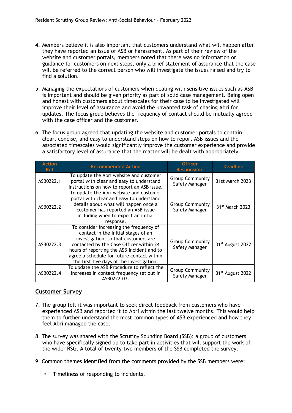- 4. Members believe it is also important that customers understand what will happen after they have reported an issue of ASB or harassment. As part of their review of the website and customer portals, members noted that there was no information or guidance for customers on next steps, only a brief statement of assurance that the case will be referred to the correct person who will investigate the issues raised and try to find a solution.
- 5. Managing the expectations of customers when dealing with sensitive issues such as ASB is important and should be given priority as part of solid case management. Being open and honest with customers about timescales for their case to be investigated will improve their level of assurance and avoid the unwanted task of chasing Abri for updates. The focus group believes the frequency of contact should be mutually agreed with the case officer and the customer.
- 6. The focus group agreed that updating the website and customer portals to contain clear, concise, and easy to understand steps on how to report ASB issues and the associated timescales would significantly improve the customer experience and provide a satisfactory level of assurance that the matter will be dealt with appropriately.

| <b>Action</b><br><b>Ref</b> | <b>Recommended Action</b>                                                                                                                                                                                                                                                                                  | <b>Officer</b><br><b>Responsible</b>     | <b>Deadline</b>              |
|-----------------------------|------------------------------------------------------------------------------------------------------------------------------------------------------------------------------------------------------------------------------------------------------------------------------------------------------------|------------------------------------------|------------------------------|
| ASB0222.1                   | To update the Abri website and customer<br>portal with clear and easy to understand<br>instructions on how to report an ASB issue.                                                                                                                                                                         | <b>Group Community</b><br>Safety Manager | 31st March 2023              |
| ASB0222.2                   | To update the Abri website and customer<br>portal with clear and easy to understand<br>details about what will happen once a<br>customer has reported an ASB issue<br>including when to expect an initial<br>response.                                                                                     | <b>Group Community</b><br>Safety Manager | 31 <sup>st</sup> March 2023  |
| ASB0222.3                   | To consider increasing the frequency of<br>contact in the initial stages of an<br>investigation, so that customers are<br>contacted by the Case Officer within 24<br>hours of reporting the ASB incident and to<br>agree a schedule for future contact within<br>the first five days of the investigation. | <b>Group Community</b><br>Safety Manager | 31 <sup>st</sup> August 2022 |
| ASB0222.4                   | To update the ASB Procedure to reflect the<br>increases in contact frequency set out in<br>ASB0222.03.                                                                                                                                                                                                     | <b>Group Community</b><br>Safety Manager | 31 <sup>st</sup> August 2022 |

# **Customer Survey**

- 7. The group felt it was important to seek direct feedback from customers who have experienced ASB and reported it to Abri within the last twelve months. This would help them to further understand the most common types of ASB experienced and how they feel Abri managed the case.
- 8. The survey was shared with the Scrutiny Sounding Board (SSB); a group of customers who have specifically signed up to take part in activities that will support the work of the wider RSG. A total of twenty-two members of the SSB completed the survey.
- 9. Common themes identified from the comments provided by the SSB members were:
	- Timeliness of responding to incidents,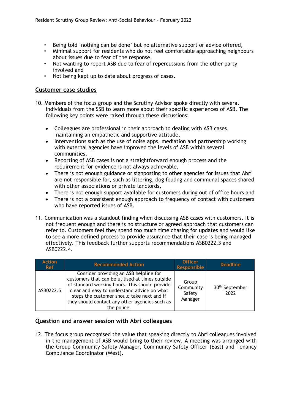- Being told 'nothing can be done' but no alternative support or advice offered,
- Minimal support for residents who do not feel comfortable approaching neighbours about issues due to fear of the response,
- Not wanting to report ASB due to fear of repercussions from the other party involved and
- Not being kept up to date about progress of cases.

### **Customer case studies**

- 10. Members of the focus group and the Scrutiny Advisor spoke directly with several individuals from the SSB to learn more about their specific experiences of ASB. The following key points were raised through these discussions:
	- Colleagues are professional in their approach to dealing with ASB cases, maintaining an empathetic and supportive attitude,
	- Interventions such as the use of noise apps, mediation and partnership working with external agencies have improved the levels of ASB within several communities,
	- Reporting of ASB cases is not a straightforward enough process and the requirement for evidence is not always achievable,
	- There is not enough guidance or signposting to other agencies for issues that Abri are not responsible for, such as littering, dog fouling and communal spaces shared with other associations or private landlords,
	- There is not enough support available for customers during out of office hours and
	- There is not a consistent enough approach to frequency of contact with customers who have reported issues of ASB.
- 11. Communication was a standout finding when discussing ASB cases with customers. It is not frequent enough and there is no structure or agreed approach that customers can refer to. Customers feel they spend too much time chasing for updates and would like to see a more defined process to provide assurance that their case is being managed effectively. This feedback further supports recommendations ASB0222.3 and ASB0222.4.

| <b>Action</b><br><b>Ref</b> | <b>Recommended Action</b>                                                                                                                                                                                                                                                                                 | <b>Officer</b><br>Responsible           | <b>Deadline</b>                    |
|-----------------------------|-----------------------------------------------------------------------------------------------------------------------------------------------------------------------------------------------------------------------------------------------------------------------------------------------------------|-----------------------------------------|------------------------------------|
| ASB0222.5                   | Consider providing an ASB helpline for<br>customers that can be utilised at times outside<br>of standard working hours. This should provide<br>clear and easy to understand advice on what<br>steps the customer should take next and if<br>they should contact any other agencies such as<br>the police. | Group<br>Community<br>Safety<br>Manager | 30 <sup>th</sup> September<br>2022 |

## **Question and answer session with Abri colleagues**

12. The focus group recognised the value that speaking directly to Abri colleagues involved in the management of ASB would bring to their review. A meeting was arranged with the Group Community Safety Manager, Community Safety Officer (East) and Tenancy Compliance Coordinator (West).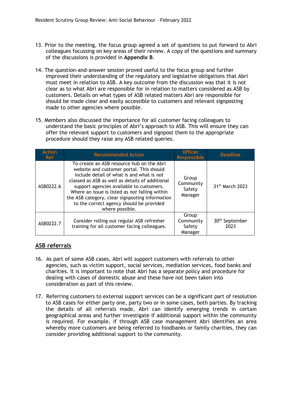- 13. Prior to the meeting, the focus group agreed a set of questions to put forward to Abri colleagues focussing on key areas of their review. A copy of the questions and summary of the discussions is provided in **Appendix B**.
- 14. The question-and-answer session proved useful to the focus group and further improved their understanding of the regulatory and legislative obligations that Abri must meet in relation to ASB. A key outcome from the discussion was that it is not clear as to what Abri are responsible for in relation to matters considered as ASB by customers. Details on what types of ASB related matters Abri are responsible for should be made clear and easily accessible to customers and relevant signposting made to other agencies where possible.
- 15. Members also discussed the importance for all customer facing colleagues to understand the basic principles of Abri's approach to ASB. This will ensure they can offer the relevant support to customers and signpost them to the appropriate procedure should they raise any ASB related queries.

| <b>Action</b><br><b>Ref</b> | <b>Recommended Action</b>                                                                                                                                                                                                                                                                                                                                                                             | <b>Officer</b><br><b>Responsible</b>    | <b>Deadline</b>                    |
|-----------------------------|-------------------------------------------------------------------------------------------------------------------------------------------------------------------------------------------------------------------------------------------------------------------------------------------------------------------------------------------------------------------------------------------------------|-----------------------------------------|------------------------------------|
| ASB0222.6                   | To create an ASB resource hub on the Abri<br>website and customer portal. This should<br>include detail of what is and what is not<br>classed as ASB as well as details of additional<br>support agencies available to customers.<br>Where an issue is listed as not falling within<br>the ASB category, clear signposting information<br>to the correct agency should be provided<br>where possible. | Group<br>Community<br>Safety<br>Manager | 31 <sup>st</sup> March 2023        |
| ASB0222.7                   | Consider rolling out regular ASB refresher<br>training for all customer facing colleagues.                                                                                                                                                                                                                                                                                                            | Group<br>Community<br>Safety<br>Manager | 30 <sup>th</sup> September<br>2023 |

# **ASB referrals**

- 16. As part of some ASB cases, Abri will support customers with referrals to other agencies, such as victim support, social services, mediation services, food banks and charities. It is important to note that Abri has a separate policy and procedure for dealing with cases of domestic abuse and these have not been taken into consideration as part of this review.
- 17. Referring customers to external support services can be a significant part of resolution to ASB cases for either party one, party two or in some cases, both parties. By tracking the details of all referrals made, Abri can identify emerging trends in certain geographical areas and further investigate if additional support within the community is required. For example, if through ASB case management Abri identifies an area whereby more customers are being referred to foodbanks or family charities, they can consider providing additional support to the community.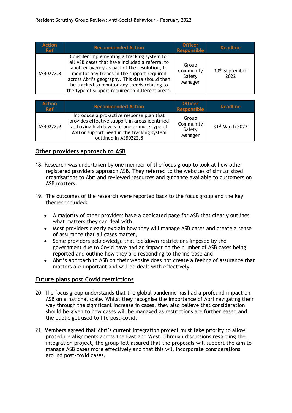| <b>Action</b><br><b>Ref</b> | <b>Recommended Action</b>                                                                                                                                                                                                                                                                                                                         | <b>Officer</b><br>Responsible           | <b>Deadline</b>                    |
|-----------------------------|---------------------------------------------------------------------------------------------------------------------------------------------------------------------------------------------------------------------------------------------------------------------------------------------------------------------------------------------------|-----------------------------------------|------------------------------------|
| ASB0222.8                   | Consider implementing a tracking system for<br>all ASB cases that have included a referral to<br>another agency as part of the resolution, to<br>monitor any trends in the support required<br>across Abri's geography. This data should then<br>be tracked to monitor any trends relating to<br>the type of support required in different areas. | Group<br>Community<br>Safety<br>Manager | 30 <sup>th</sup> September<br>2022 |

| Action<br>Ref | <b>Recommended Action</b>                                                                                                                                                                                          | <b>Officer</b><br>Responsible           | <b>Deadline</b>             |
|---------------|--------------------------------------------------------------------------------------------------------------------------------------------------------------------------------------------------------------------|-----------------------------------------|-----------------------------|
| ASB0222.9     | Introduce a pro-active response plan that<br>provides effective support in areas identified<br>as having high levels of one or more type of<br>ASB or support need in the tracking system<br>outlined in ASB0222.8 | Group<br>Community<br>Safety<br>Manager | 31 <sup>st</sup> March 2023 |

## **Other providers approach to ASB**

- 18. Research was undertaken by one member of the focus group to look at how other registered providers approach ASB. They referred to the websites of similar sized organisations to Abri and reviewed resources and guidance available to customers on ASB matters.
- 19. The outcomes of the research were reported back to the focus group and the key themes included:
	- A majority of other providers have a dedicated page for ASB that clearly outlines what matters they can deal with,
	- Most providers clearly explain how they will manage ASB cases and create a sense of assurance that all cases matter,
	- Some providers acknowledge that lockdown restrictions imposed by the government due to Covid have had an impact on the number of ASB cases being reported and outline how they are responding to the increase and
	- Abri's approach to ASB on their website does not create a feeling of assurance that matters are important and will be dealt with effectively.

## **Future plans post Covid restrictions**

- 20. The focus group understands that the global pandemic has had a profound impact on ASB on a national scale. Whilst they recognise the importance of Abri navigating their way through the significant increase in cases, they also believe that consideration should be given to how cases will be managed as restrictions are further eased and the public get used to life post-covid.
- 21. Members agreed that Abri's current integration project must take priority to allow procedure alignments across the East and West. Through discussions regarding the integration project, the group felt assured that the proposals will support the aim to manage ASB cases more effectively and that this will incorporate considerations around post-covid cases.